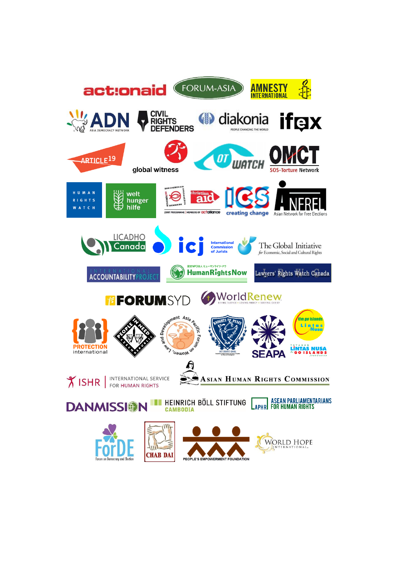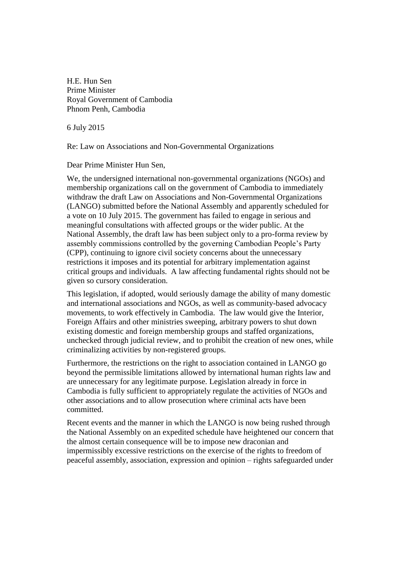H.E. Hun Sen Prime Minister Royal Government of Cambodia Phnom Penh, Cambodia

6 July 2015

Re: Law on Associations and Non-Governmental Organizations

Dear Prime Minister Hun Sen,

We, the undersigned international non-governmental organizations (NGOs) and membership organizations call on the government of Cambodia to immediately withdraw the draft Law on Associations and Non-Governmental Organizations (LANGO) submitted before the National Assembly and apparently scheduled for a vote on 10 July 2015. The government has failed to engage in serious and meaningful consultations with affected groups or the wider public. At the National Assembly, the draft law has been subject only to a pro-forma review by assembly commissions controlled by the governing Cambodian People's Party (CPP), continuing to ignore civil society concerns about the unnecessary restrictions it imposes and its potential for arbitrary implementation against critical groups and individuals. A law affecting fundamental rights should not be given so cursory consideration.

This legislation, if adopted, would seriously damage the ability of many domestic and international associations and NGOs, as well as community-based advocacy movements, to work effectively in Cambodia. The law would give the Interior, Foreign Affairs and other ministries sweeping, arbitrary powers to shut down existing domestic and foreign membership groups and staffed organizations, unchecked through judicial review, and to prohibit the creation of new ones, while criminalizing activities by non-registered groups.

Furthermore, the restrictions on the right to association contained in LANGO go beyond the permissible limitations allowed by international human rights law and are unnecessary for any legitimate purpose. Legislation already in force in Cambodia is fully sufficient to appropriately regulate the activities of NGOs and other associations and to allow prosecution where criminal acts have been committed.

Recent events and the manner in which the LANGO is now being rushed through the National Assembly on an expedited schedule have heightened our concern that the almost certain consequence will be to impose new draconian and impermissibly excessive restrictions on the exercise of the rights to freedom of peaceful assembly, association, expression and opinion – rights safeguarded under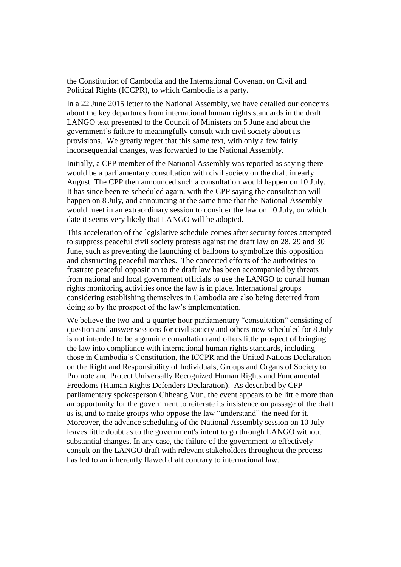the Constitution of Cambodia and the International Covenant on Civil and Political Rights (ICCPR), to which Cambodia is a party.

In a 22 June 2015 letter to the National Assembly, we have detailed our concerns about the key departures from international human rights standards in the draft LANGO text presented to the Council of Ministers on 5 June and about the government's failure to meaningfully consult with civil society about its provisions. We greatly regret that this same text, with only a few fairly inconsequential changes, was forwarded to the National Assembly.

Initially, a CPP member of the National Assembly was reported as saying there would be a parliamentary consultation with civil society on the draft in early August. The CPP then announced such a consultation would happen on 10 July. It has since been re-scheduled again, with the CPP saying the consultation will happen on 8 July, and announcing at the same time that the National Assembly would meet in an extraordinary session to consider the law on 10 July, on which date it seems very likely that LANGO will be adopted.

This acceleration of the legislative schedule comes after security forces attempted to suppress peaceful civil society protests against the draft law on 28, 29 and 30 June, such as preventing the launching of balloons to symbolize this opposition and obstructing peaceful marches. The concerted efforts of the authorities to frustrate peaceful opposition to the draft law has been accompanied by threats from national and local government officials to use the LANGO to curtail human rights monitoring activities once the law is in place. International groups considering establishing themselves in Cambodia are also being deterred from doing so by the prospect of the law's implementation.

We believe the two-and-a-quarter hour parliamentary "consultation" consisting of question and answer sessions for civil society and others now scheduled for 8 July is not intended to be a genuine consultation and offers little prospect of bringing the law into compliance with international human rights standards, including those in Cambodia's Constitution, the ICCPR and the United Nations Declaration on the Right and Responsibility of Individuals, Groups and Organs of Society to Promote and Protect Universally Recognized Human Rights and Fundamental Freedoms (Human Rights Defenders Declaration). As described by CPP parliamentary spokesperson Chheang Vun, the event appears to be little more than an opportunity for the government to reiterate its insistence on passage of the draft as is, and to make groups who oppose the law "understand" the need for it. Moreover, the advance scheduling of the National Assembly session on 10 July leaves little doubt as to the government's intent to go through LANGO without substantial changes. In any case, the failure of the government to effectively consult on the LANGO draft with relevant stakeholders throughout the process has led to an inherently flawed draft contrary to international law.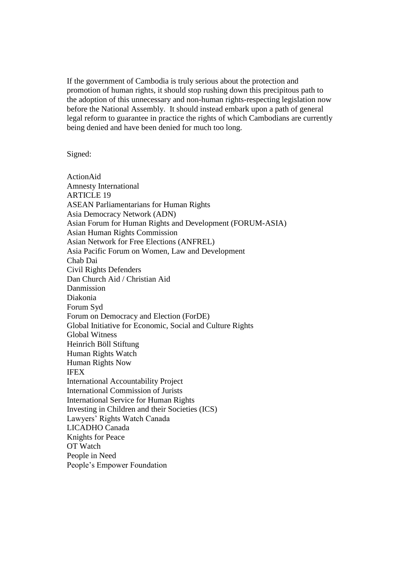If the government of Cambodia is truly serious about the protection and promotion of human rights, it should stop rushing down this precipitous path to the adoption of this unnecessary and non-human rights-respecting legislation now before the National Assembly. It should instead embark upon a path of general legal reform to guarantee in practice the rights of which Cambodians are currently being denied and have been denied for much too long.

## Signed:

ActionAid Amnesty International ARTICLE 19 ASEAN Parliamentarians for Human Rights Asia Democracy Network (ADN) Asian Forum for Human Rights and Development (FORUM-ASIA) Asian Human Rights Commission Asian Network for Free Elections (ANFREL) Asia Pacific Forum on Women, Law and Development Chab Dai Civil Rights Defenders Dan Church Aid / Christian Aid Danmission Diakonia Forum Syd Forum on Democracy and Election (ForDE) Global Initiative for Economic, Social and Culture Rights Global Witness Heinrich Böll Stiftung Human Rights Watch Human Rights Now IFEX International Accountability Project International Commission of Jurists International Service for Human Rights Investing in Children and their Societies (ICS) Lawyers' Rights Watch Canada LICADHO Canada Knights for Peace OT Watch People in Need People's Empower Foundation